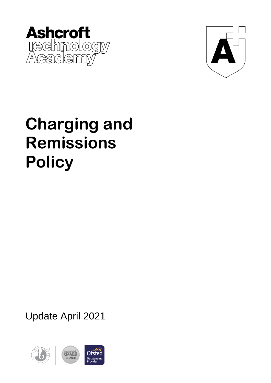



## **Charging and Remissions Policy**

Update April 2021

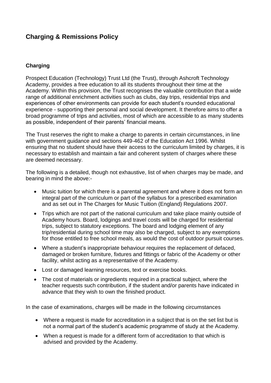## **Charging & Remissions Policy**

## **Charging**

Prospect Education (Technology) Trust Ltd (the Trust), through Ashcroft Technology Academy, provides a free education to all its students throughout their time at the Academy. Within this provision, the Trust recognises the valuable contribution that a wide range of additional enrichment activities such as clubs, day trips, residential trips and experiences of other environments can provide for each student's rounded educational experience - supporting their personal and social development. It therefore aims to offer a broad programme of trips and activities, most of which are accessible to as many students as possible, independent of their parents' financial means.

The Trust reserves the right to make a charge to parents in certain circumstances, in line with government guidance and sections 449-462 of the Education Act 1996. Whilst ensuring that no student should have their access to the curriculum limited by charges, it is necessary to establish and maintain a fair and coherent system of charges where these are deemed necessary.

The following is a detailed, though not exhaustive, list of when charges may be made, and bearing in mind the above:-

- Music tuition for which there is a parental agreement and where it does not form an integral part of the curriculum or part of the syllabus for a prescribed examination and as set out in The Charges for Music Tuition (England) Regulations 2007.
- Trips which are not part of the national curriculum and take place mainly outside of Academy hours. Board, lodgings and travel costs will be charged for residential trips, subject to statutory exceptions. The board and lodging element of any trip/residential during school time may also be charged, subject to any exemptions for those entitled to free school meals, as would the cost of outdoor pursuit courses.
- Where a student's inappropriate behaviour requires the replacement of defaced, damaged or broken furniture, fixtures and fittings or fabric of the Academy or other facility, whilst acting as a representative of the Academy.
- Lost or damaged learning resources, text or exercise books.
- The cost of materials or ingredients required in a practical subject, where the teacher requests such contribution, if the student and/or parents have indicated in advance that they wish to own the finished product.

In the case of examinations, charges will be made in the following circumstances

- Where a request is made for accreditation in a subject that is on the set list but is not a normal part of the student's academic programme of study at the Academy.
- When a request is made for a different form of accreditation to that which is advised and provided by the Academy.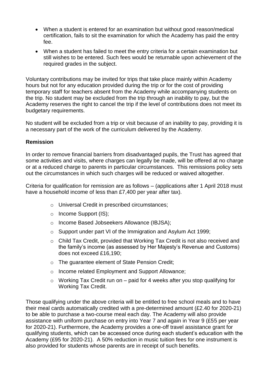- When a student is entered for an examination but without good reason/medical certification, fails to sit the examination for which the Academy has paid the entry fee.
- When a student has failed to meet the entry criteria for a certain examination but still wishes to be entered. Such fees would be returnable upon achievement of the required grades in the subject.

Voluntary contributions may be invited for trips that take place mainly within Academy hours but not for any education provided during the trip or for the cost of providing temporary staff for teachers absent from the Academy while accompanying students on the trip. No student may be excluded from the trip through an inability to pay, but the Academy reserves the right to cancel the trip if the level of contributions does not meet its budgetary requirements.

No student will be excluded from a trip or visit because of an inability to pay, providing it is a necessary part of the work of the curriculum delivered by the Academy.

## **Remission**

In order to remove financial barriers from disadvantaged pupils, the Trust has agreed that some activities and visits, where charges can legally be made, will be offered at no charge or at a reduced charge to parents in particular circumstances. This remissions policy sets out the circumstances in which such charges will be reduced or waived altogether.

Criteria for qualification for remission are as follows – (applications after 1 April 2018 must have a household income of less than £7,400 per year after tax).

- o Universal Credit in prescribed circumstances;
- o Income Support (IS);
- o Income Based Jobseekers Allowance (IBJSA);
- o Support under part VI of the Immigration and Asylum Act 1999;
- o Child Tax Credit, provided that Working Tax Credit is not also received and the family's income (as assessed by Her Majesty's Revenue and Customs) does not exceed £16,190;
- o The guarantee element of State Pension Credit;
- o Income related Employment and Support Allowance;
- $\circ$  Working Tax Credit run on paid for 4 weeks after you stop qualifying for Working Tax Credit.

Those qualifying under the above criteria will be entitled to free school meals and to have their meal cards automatically credited with a pre-determined amount (£2.40 for 2020-21) to be able to purchase a two-course meal each day. The Academy will also provide assistance with uniform purchase on entry into Year 7 and again in Year 9 (£55 per year for 2020-21). Furthermore, the Academy provides a one-off travel assistance grant for qualifying students, which can be accessed once during each student's education with the Academy (£95 for 2020-21). A 50% reduction in music tuition fees for one instrument is also provided for students whose parents are in receipt of such benefits.